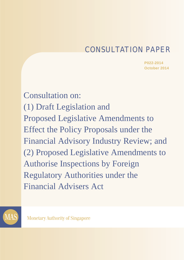# CONSULTATION PAPER

**P022-2014 October 2014**

Consultation on: (1) Draft Legislation and Proposed Legislative Amendments to Effect the Policy Proposals under the Financial Advisory Industry Review; and (2) Proposed Legislative Amendments to Authorise Inspections by Foreign Regulatory Authorities under the Financial Advisers Act



**Monetary Authority of Singapore**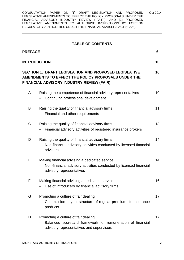#### **TABLE OF CONTENTS**

| <b>PREFACE</b>                                                                                                                                                         |                                                                                                                                                | 6               |
|------------------------------------------------------------------------------------------------------------------------------------------------------------------------|------------------------------------------------------------------------------------------------------------------------------------------------|-----------------|
| <b>INTRODUCTION</b>                                                                                                                                                    |                                                                                                                                                | 10              |
| <b>SECTION 1: DRAFT LEGISLATION AND PROPOSED LEGISLATIVE</b><br>10<br>AMENDMENTS TO EFFECT THE POLICY PROPOSALS UNDER THE<br>FINANCIAL ADVISORY INDUSTRY REVIEW (FAIR) |                                                                                                                                                |                 |
| A                                                                                                                                                                      | Raising the competence of financial advisory representatives<br>Continuing professional development                                            | 10 <sup>°</sup> |
| B                                                                                                                                                                      | Raising the quality of financial advisory firms<br>Financial and other requirements                                                            | 11              |
| C                                                                                                                                                                      | Raising the quality of financial advisory firms<br>Financial advisory activities of registered insurance brokers                               | 13              |
| D                                                                                                                                                                      | Raising the quality of financial advisory firms<br>Non-financial advisory activities conducted by licensed financial<br>advisers               | 14              |
| Е                                                                                                                                                                      | Making financial advising a dedicated service<br>Non-financial advisory activities conducted by licensed financial<br>advisory representatives | 14              |
| F                                                                                                                                                                      | Making financial advising a dedicated service<br>Use of introducers by financial advisory firms                                                | 16              |
| G                                                                                                                                                                      | Promoting a culture of fair dealing<br>Commission payout structure of regular premium life insurance<br>products                               | 17              |
| H                                                                                                                                                                      | Promoting a culture of fair dealing<br>Balanced scorecard framework for remuneration of financial<br>advisory representatives and supervisors  | 17              |
|                                                                                                                                                                        |                                                                                                                                                |                 |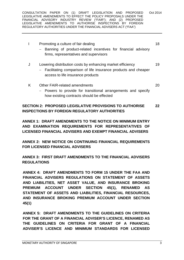| Promoting a culture of fair dealing<br>- Banning of product-related incentives for financial advisory<br>firms, representatives and supervisors                              | 18 |  |  |
|------------------------------------------------------------------------------------------------------------------------------------------------------------------------------|----|--|--|
| J<br>Lowering distribution costs by enhancing market efficiency<br>Facilitating comparison of life insurance products and cheaper<br>access to life insurance products       | 19 |  |  |
| K<br>Other FAIR-related amendments<br>- Powers to provide for transitional arrangements and specify<br>how existing contracts should be effected                             | 20 |  |  |
| <b>SECTION 2: PROPOSED LEGISLATIVE PROVISIONS TO AUTHORISE</b><br>22<br><b>INSPECTIONS BY FOREIGN REGULATORY AUTHORITIES</b>                                                 |    |  |  |
| ANNEX 1: DRAFT AMENDMENTS TO THE NOTICE ON MINIMUM ENTRY<br>AND EXAMINATION REQUIREMENTS FOR REPRESENTATIVES OF<br>LICENSED FINANCIAL ADVISERS AND EXEMPT FINANCIAL ADVISERS |    |  |  |
|                                                                                                                                                                              |    |  |  |

**ANNEX 2: NEW NOTICE ON CONTINUING FINANCIAL REQUIREMENTS FOR LICENSED FINANCIAL ADVISERS** 

**ANNEX 3: FIRST DRAFT AMENDMENTS TO THE FINANCIAL ADVISERS REGULATIONS** 

**ANNEX 4: DRAFT AMENDMENTS TO FORM 15 UNDER THE FAA AND FINANCIAL ADVISERS REGULATIONS ON STATEMENT OF ASSETS AND LIABILITIES, NET ASSET VALUE, AND INSURANCE BROKING PREMIUM ACCOUNT UNDER SECTION 45(1), RENAMED AS STATEMENT OF ASSETS AND LIABILITIES, FINANCIAL RESOURCES, AND INSURANCE BROKING PREMIUM ACCOUNT UNDER SECTION 45(1)** 

**ANNEX 5: DRAFT AMENDMENTS TO THE GUIDELINES ON CRITERIA FOR THE GRANT OF A FINANCIAL ADVISER'S LICENCE, RENAMED AS THE GUIDELINES ON CRITERIA FOR GRANT OF A FINANCIAL ADVISER'S LICENCE AND MINIMUM STANDARDS FOR LICENSED**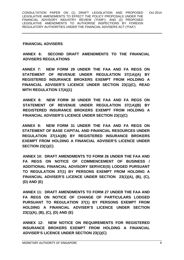#### **FINANCIAL ADVISERS**

#### **ANNEX 6: SECOND DRAFT AMENDMENTS TO THE FINANCIAL ADVISERS REGULATIONS**

**ANNEX 7: NEW FORM 29 UNDER THE FAA AND FA REGS ON STATEMENT OF REVENUE UNDER REGULATION 37(1A)(A) BY REGISTERED INSURANCE BROKERS EXEMPT FROM HOLDING A FINANCIAL ADVISER'S LICENCE UNDER SECTION 23(1)(C), READ WITH REGULATION 17(A)(1)** 

**ANNEX 8: NEW FORM 30 UNDER THE FAA AND FA REGS ON STATEMENT OF REVENUE UNDER REGULATION 37(1A)(B) BY REGISTERED INSURANCE BROKERS EXEMPT FROM HOLDING A FINANCIAL ADVISER'S LICENCE UNDER SECTION 23(1)(C)** 

**ANNEX 9: NEW FORM 31 UNDER THE FAA AND FA REGS ON STATEMENT OF BASE CAPITAL AND FINANCIAL RESOURCES UNDER REGULATION 37(1A)(B) BY REGISTERED INSURANCE BROKERS EXEMPT FROM HOLDING A FINANCIAL ADVISER'S LICENCE UNDER SECTION 23(1)(C)** 

**ANNEX 10: DRAFT AMENDMENTS TO FORM 26 UNDER THE FAA AND FA REGS ON NOTICE OF COMMENCEMENT OF BUSINESS / ADDITIONAL FINANCIAL ADVISORY SERVICE(S) LODGED PURSUANT TO REGULATION 37(1) BY PERSONS EXEMPT FROM HOLDING A FINANCIAL ADVISER'S LICENCE UNDER SECTION 23(1)(A), (B), (C), (D) AND (E)** 

**ANNEX 11: DRAFT AMENDMENTS TO FORM 27 UNDER THE FAA AND FA REGS ON NOTICE OF CHANGE OF PARTICULARS LODGED PURSUANT TO REGULATION 37(1) BY PERSONS EXEMPT FROM HOLDING A FINANCIAL ADVISER'S LICENCE UNDER SECTION 23(1)(A), (B), (C), (D) AND (E)** 

**ANNEX 12: NEW NOTICE ON REQUIREMENTS FOR REGISTERED INSURANCE BROKERS EXEMPT FROM HOLDING A FINANCIAL ADVISER'S LICENCE UNDER SECTION 23(1)(C)**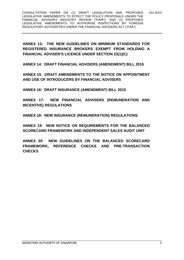**ANNEX 13: THE NEW GUIDELINES ON MINIMUM STANDARDS FOR REGISTERED INSURANCE BROKERS EXEMPT FROM HOLDING A FINANCIAL ADVISER'S LICENCE UNDER SECTION 23(1)(C)** 

**ANNEX 14: DRAFT FINANCIAL ADVISERS (AMENDMENT) BILL 2015** 

**ANNEX 15: DRAFT AMENDMENTS TO THE NOTICE ON APPOINTMENT AND USE OF INTRODUCERS BY FINANCIAL ADVISERS** 

**ANNEX 16: DRAFT INSURANCE (AMENDMENT) BILL 2015** 

**ANNEX 17: NEW FINANCIAL ADVISERS (REMUNERATION AND INCENTIVE) REGULATIONS** 

**ANNEX 18: NEW INSURANCE (REMUNERATION) REGULATIONS** 

**ANNEX 19: NEW NOTICE ON REQUIREMENTS FOR THE BALANCED SCORECARD FRAMEWORK AND INDEPENDENT SALES AUDIT UNIT** 

**ANNEX 20: NEW GUIDELINES ON THE BALANCED SCORECARD FRAMEWORK, REFERENCE CHECKS AND PRE-TRANSACTION CHECKS**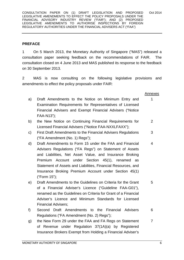#### **PREFACE**

1 On 5 March 2013, the Monetary Authority of Singapore ("MAS") released a consultation paper seeking feedback on the recommendations of FAIR. The consultation closed on 4 June 2013 and MAS published its response to the feedback on 30 September 2013.

2 MAS is now consulting on the following legislative provisions and amendments to effect the policy proposals under FAIR:

#### Annexes 1

- a) Draft Amendments to the Notice on Minimum Entry and Examination Requirements for Representatives of Licensed Financial Advisers and Exempt Financial Advisers ("Notice FAA-N13");
- b) the New Notice on Continuing Financial Requirements for Licensed Financial Advisers ("Notice FAA-NXXLFAXX"); 2
- c) First Draft Amendments to the Financial Advisers Regulations ("FA Amendment (No. 1) Regs"); 3
- d) Draft Amendments to Form 15 under the FAA and Financial Advisers Regulations ("FA Regs") on Statement of Assets and Liabilities, Net Asset Value, and Insurance Broking Premium Account under Section 45(1), renamed as Statement of Assets and Liabilities, Financial Resources, and Insurance Broking Premium Account under Section 45(1) ("Form 15"); 4
- e) Draft Amendments to the Guidelines on Criteria for the Grant of a Financial Adviser's Licence ("Guideline FAA-G01"), renamed as the Guidelines on Criteria for Grant of a Financial Adviser's Licence and Minimum Standards for Licensed Financial Advisers; 5
- f) Second Draft Amendments to the Financial Advisers Regulations ("FA Amendment (No. 2) Regs"); 6
- g) the New Form 29 under the FAA and FA Regs on Statement of Revenue under Regulation 37(1A)(a) by Registered Insurance Brokers Exempt from Holding a Financial Adviser's 7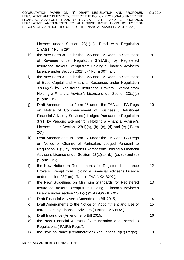Licence under Section 23(1)(c), Read with Regulation 17(A)(1) ("Form 29");

- h) the New Form 30 under the FAA and FA Regs on Statement of Revenue under Regulation 37(1A)(b) by Registered Insurance Brokers Exempt from Holding a Financial Adviser's Licence under Section 23(1)(c) ("Form 30"); and 8
- i) the New Form 31 under the FAA and FA Regs on Statement of Base Capital and Financial Resources under Regulation 37(1A)(b) by Registered Insurance Brokers Exempt from Holding a Financial Adviser's Licence under Section 23(1)(c) ("Form 31"). 9
- j) Draft Amendments to Form 26 under the FAA and FA Regs on Notice of Commencement of Business / Additional Financial Advisory Service(s) Lodged Pursuant to Regulation 37(1) by Persons Exempt from Holding a Financial Adviser's Licence under Section 23(1)(a), (b), (c), (d) and (e) ("Form 26"); 10
- k) Draft Amendments to Form 27 under the FAA and FA Regs on Notice of Change of Particulars Lodged Pursuant to Regulation 37(1) by Persons Exempt from Holding a Financial Adviser's Licence under Section 23(1)(a), (b), (c), (d) and (e) ("Form 27"); 11
- l) the New Notice on Requirements for Registered Insurance Brokers Exempt from Holding a Financial Adviser's Licence under section 23(1)(c) ("Notice FAA-NXXIBXX"); 12
- m) the New Guidelines on Minimum Standards for Registered Insurance Brokers Exempt from Holding a Financial Adviser's Licence under section 23(1)(c) ("FAA-GXXIBXX"); 13
- n) Draft Financial Advisers (Amendment) Bill 2015; o) Draft Amendments to the Notice on Appointment and Use of 14 15
- Introducers by Financial Advisers ("Notice FAA-N02"); p) Draft Insurance (Amendment) Bill 2015; 16
- q) the New Financial Advisers (Remuneration and Incentive) Regulations ("FA(RI) Regs"); 17
- r) the New Insurance (Remuneration) Regulations ("I(R) Regs"); 18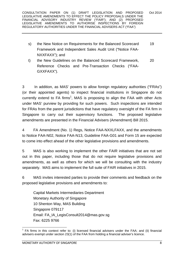- s) the New Notice on Requirements for the Balanced Scorecard Framework and Independent Sales Audit Unit ("Notice FAA-NXXFAXX"); and 19
- t) the New Guidelines on the Balanced Scorecard Framework, Reference Checks and Pre-Transaction Checks ("FAA-GXXFAXX"). 20

3 In addition, as MAS' powers to allow foreign regulatory authorities ("FRAs") (or their appointed agents) to inspect financial institutions in Singapore do not currently extend to FA firms<sup>1</sup>, MAS is proposing to align the FAA with other Acts under MAS' purview by providing for such powers. Such inspections are intended for FRAs from the parent jurisdictions that have regulatory oversight of the FA firm in Singapore to carry out their supervisory functions. The proposed legislative amendments are presented in the Financial Advisers (Amendment) Bill 2015.

4 FA Amendment (No. 1) Regs, Notice FAA-NXXLFAXX, and the amendments to Notice FAA-N02, Notice FAA-N13, Guideline FAA-G01 and Form 15 are expected to come into effect ahead of the other legislative provisions and amendments.

5 MAS is also working to implement the other FAIR initiatives that are not set out in this paper, including those that do not require legislative provisions and amendments, as well as others for which we will be consulting with the industry separately. MAS aims to implement the full suite of FAIR initiatives in 2015.

6 MAS invites interested parties to provide their comments and feedback on the proposed legislative provisions and amendments to:

 Capital Markets Intermediaries Department Monetary Authority of Singapore 10 Shenton Way, MAS Building Singapore 079117 Email: FA\_IA\_LegisConsult2014@mas.gov.sg Fax: 6225 9766

<sup>&</sup>lt;u> - Andreas Andreas Andreas Andreas Andreas Andreas Andreas Andreas Andreas Andreas Andreas Andreas Andreas Andr</u>  $1$  FA firms in this context refer to: (i) licensed financial advisers under the FAA; and (ii) financial advisers exempt under section 23(1) of the FAA from holding a financial adviser's licence.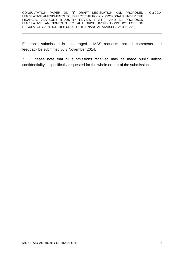Electronic submission is encouraged. MAS requests that all comments and feedback be submitted by 3 November 2014.

7 Please note that all submissions received may be made public unless confidentiality is specifically requested for the whole or part of the submission.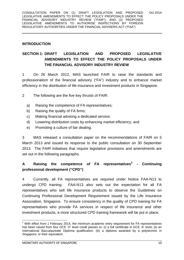#### **INTRODUCTION**

# **SECTION 1: DRAFT LEGISLATION AND PROPOSED LEGISLATIVE AMENDMENTS TO EFFECT THE POLICY PROPOSALS UNDER THE FINANCIAL ADVISORY INDUSTRY REVIEW**

1 On 26 March 2012, MAS launched FAIR to raise the standards and professionalism of the financial advisory ("FA") industry and to enhance market efficiency in the distribution of life insurance and investment products in Singapore.

- 2 The following are the five key thrusts of FAIR:
	- a) Raising the competence of FA representatives;
	- b) Raising the quality of FA firms;
	- c) Making financial advising a dedicated service;
	- d) Lowering distribution costs by enhancing market efficiency; and
	- e) Promoting a culture of fair dealing.

3 MAS released a consultation paper on the recommendations of FAIR on 5 March 2013 and issued its response to the public consultation on 30 September 2013. The FAIR initiatives that require legislative provisions and amendments are set out in the following paragraphs.

# **A Raising the competence of FA representatives<sup>2</sup> - Continuing professional development ("CPD")**

4 Currently, all FA representatives are required under Notice FAA-N13 to undergo CPD training. FAA-N13 also sets out the expectation for all FA representatives who sell life insurance products to observe the Guidelines on Continuing Professional Development Requirement issued by the Life Insurance Association, Singapore. To ensure consistency in the quality of CPD training for FA representatives who provide FA services in respect of life insurance and other investment products, a more structured CPD training framework will be put in place.

 2 With effect from 1 February 2014, the minimum academic entry requirement for FA representatives has been raised from four GCE 'O' level credit passes to: (i) a full certificate in GCE 'A' level; (ii) an International Baccalaureate Diploma qualification; (iii) a diploma awarded by a polytechnic in Singapore; or their equivalent.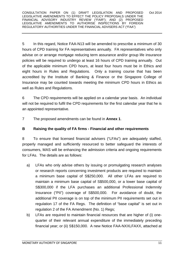5 In this regard, Notice FAA-N13 will be amended to prescribe a minimum of 30 hours of CPD training for FA representatives annually. FA representatives who only advise on or arrange mortgage reducing term assurance and/or group life insurance policies will be required to undergo at least 16 hours of CPD training annually. Out of the applicable minimum CPD hours, at least four hours must be in Ethics and eight hours in Rules and Regulations. Only a training course that has been accredited by the Institute of Banking & Finance or the Singapore College of Insurance may be counted towards meeting the minimum CPD hours in Ethics as well as Rules and Regulations.

6 The CPD requirements will be applied on a calendar year basis. An individual will not be required to fulfil the CPD requirements for the first calendar year that he is an appointed representative.

7 The proposed amendments can be found in **Annex 1**.

#### **B Raising the quality of FA firms - Financial and other requirements**

8 To ensure that licensed financial advisers ("LFAs") are adequately staffed, properly managed and sufficiently resourced to better safeguard the interests of consumers, MAS will be enhancing the admission criteria and ongoing requirements for LFAs. The details are as follows:

- a) LFAs who only advise others by issuing or promulgating research analyses or research reports concerning investment products are required to maintain a minimum base capital of S\$250,000. All other LFAs are required to maintain a minimum base capital of S\$500,000, or a lower base capital of S\$300,000 if the LFA purchases an additional Professional Indemnity Insurance ("PII") coverage of S\$500,000. For avoidance of doubt, the additional PII coverage is on top of the minimum PII requirements set out in regulation 17 of the FA Regs. The definition of "base capital" is set out in regulation 2 of the FA Amendment (No. 1) Regs;
- b) LFAs are required to maintain financial resources that are higher of (i) onequarter of their relevant annual expenditure of the immediately preceding financial year; or (ii) S\$150,000. A new Notice FAA-NXXLFAXX, attached at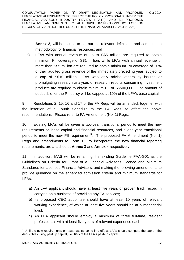**Annex 2**, will be issued to set out the relevant definitions and computation methodology for financial resources; and

c) LFAs with annual revenue of up to S\$5 million are required to obtain minimum PII coverage of S\$1 million, while LFAs with annual revenue of more than S\$5 million are required to obtain minimum PII coverage of 20% of their audited gross revenue of the immediately preceding year, subject to a cap of S\$10 million. LFAs who only advise others by issuing or promulgating research analyses or research reports concerning investment products are required to obtain minimum PII of S\$500,000. The amount of deductible for the PII policy will be capped at 10% of the LFA's base capital.

9 Regulations 2, 15, 16 and 17 of the FA Regs will be amended, together with the insertion of a Fourth Schedule to the FA Regs, to effect the above recommendations. Please refer to FA Amendment (No. 1) Regs.

10 Existing LFAs will be given a two-year transitional period to meet the new requirements on base capital and financial resources, and a one-year transitional period to meet the new PII requirement<sup>3</sup>. The proposed FA Amendment (No. 1) Regs and amendments to Form 15, to incorporate the new financial reporting requirements, are attached at **Annex 3** and **Annex 4** respectively.

11 In addition, MAS will be renaming the existing Guideline FAA-G01 as the Guidelines on Criteria for Grant of a Financial Adviser's Licence and Minimum Standards for Licensed Financial Advisers, and making the following amendments to provide guidance on the enhanced admission criteria and minimum standards for LFAs:

- a) An LFA applicant should have at least five years of proven track record in carrying on a business of providing any FA services;
- b) Its proposed CEO appointee should have at least 10 years of relevant working experience, of which at least five years should be at a managerial level;
- c) An LFA applicant should employ a minimum of three full-time, resident professionals with at least five years of relevant experience each;

 3 Until the new requirements on base capital come into effect, LFAs should compute the cap on the deductibles using paid up capital, i.e. 10% of the LFA's paid-up capital.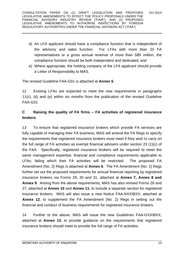- d) An LFA applicant should have a compliance function that is independent of the advisory and sales function. For LFAs with more than 20 FA representatives or a gross annual revenue of more than S\$5 million, the compliance function should be both independent and dedicated; and
- e) Where appropriate, the holding company of the LFA applicant should provide a Letter of Responsibility to MAS.

The revised Guideline FAA-G01 is attached at **Annex 5**.

12 Existing LFAs are expected to meet the new requirements in paragraphs 11(c), (d) and (e) within six months from the publication of the revised Guideline FAA-G01.

#### **C Raising the quality of FA firms – FA activities of registered insurance brokers**

13 To ensure that registered insurance brokers which provide FA services are fully capable of managing their FA business, MAS will amend the FA Regs to specify the requirements that registered insurance brokers must meet if they wish to carry on the full range of FA activities as exempt financial advisers under section 23 (1)(c) of the FAA. Specifically, registered insurance brokers will be required to meet the same management expertise, financial and compliance requirements applicable to LFAs; failing which their FA activities will be restricted. The proposed FA Amendment (No. 2) Regs is attached at **Annex 6**. The FA Amendment (No. 2) Regs further set out the proposed requirements for annual financial reporting by registered insurance brokers via Forms 29, 30 and 31, attached at **Annex 7, Annex 8 and Annex 9**. Arising from the above requirements, MAS has also revised Forms 26 and 27, attached at **Annex 10** and **Annex 11**, to include a separate section for registered insurance brokers. MAS will also issue a new Notice FAA-NXXIBXX, attached at **Annex 12**, to supplement the FA Amendment (No. 2) Regs in setting out the financial and conduct of business requirements for registered insurance brokers.

14 Further to the above, MAS will issue the new Guidelines FAA-GXXIBXX, attached at **Annex 13**, to provide guidance on the requirements that registered insurance brokers should meet to provide the full range of FA activities.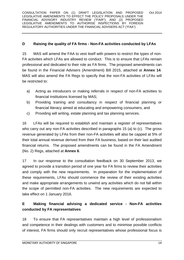#### **D Raising the quality of FA firms - Non-FA activities conducted by LFAs**

15 MAS will amend the FAA to vest itself with powers to restrict the types of non-FA activities which LFAs are allowed to conduct. This is to ensure that LFAs remain professional and dedicated to their role as FA firms. The proposed amendments can be found in the Financial Advisers (Amendment) Bill 2015, attached at **Annex 14**. MAS will also amend the FA Regs to specify that the non-FA activities of LFAs will be restricted to:

- a) Acting as introducers or making referrals in respect of non-FA activities to financial institutions licensed by MAS;
- b) Providing training and consultancy in respect of financial planning or financial literacy aimed at educating and empowering consumers; and
- c) Providing will writing, estate planning and tax planning services.

16 LFAs will be required to establish and maintain a register of representatives who carry out any non-FA activities described in paragraphs 15 (a) to (c). The gross revenue generated by LFAs from their non-FA activities will also be capped at 5% of their total annual revenue derived from their FA business, based on their last audited financial returns. The proposed amendments can be found in the FA Amendment (No. 2) Regs, attached at **Annex 6**.

17 In our response to the consultation feedback on 30 September 2013, we agreed to provide a transition period of one year for FA firms to review their activities and comply with the new requirements. In preparation for the implementation of these requirements, LFAs should commence the review of their existing activities and make appropriate arrangements to unwind any activities which do not fall within the scope of permitted non-FA activities. The new requirements are expected to take effect on 1 January 2016.

# **E Making financial advising a dedicated service - Non-FA activities conducted by FA representatives**

18 To ensure that FA representatives maintain a high level of professionalism and competence in their dealings with customers and to minimise possible conflicts of interest, FA firms should only recruit representatives whose professional focus is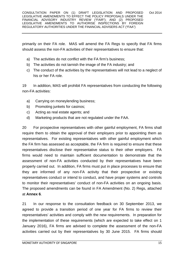primarily on their FA role. MAS will amend the FA Regs to specify that FA firms should assess the non-FA activities of their representatives to ensure that:

- a) The activities do not conflict with the FA firm's business;
- b) The activities do not tarnish the image of the FA industry; and
- c) The conduct of the activities by the representatives will not lead to a neglect of his or her FA role.

19 In addition, MAS will prohibit FA representatives from conducting the following non-FA activities:

- a) Carrying on moneylending business;
- b) Promoting junkets for casinos;
- c) Acting as real estate agents; and
- d) Marketing products that are not regulated under the FAA.

20 For prospective representatives with other gainful employment, FA firms shall require them to obtain the approval of their employers prior to appointing them as representatives. For existing representatives with other gainful employment which the FA firm has assessed as acceptable, the FA firm is required to ensure that these representatives disclose their representative status to their other employers. FA firms would need to maintain sufficient documentation to demonstrate that the assessment of non-FA activities conducted by their representatives have been properly carried out. In addition, FA firms must put in place processes to ensure that they are informed of any non-FA activity that their prospective or existing representatives conduct or intend to conduct, and have proper systems and controls to monitor their representatives' conduct of non-FA activities on an ongoing basis. The proposed amendments can be found in FA Amendment (No. 2) Regs, attached at **Annex 6**.

21 In our response to the consultation feedback on 30 September 2013, we agreed to provide a transition period of one year for FA firms to review their representatives' activities and comply with the new requirements. In preparation for the implementation of these requirements (which are expected to take effect on 1 January 2016), FA firms are advised to complete the assessment of the non-FA activities carried out by their representatives by 30 June 2015. FA firms should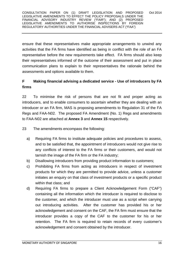ensure that these representatives make appropriate arrangements to unwind any activities that the FA firms have identified as being in conflict with the role of an FA representative before the new requirements take effect. FA firms should also keep their representatives informed of the outcome of their assessment and put in place communication plans to explain to their representatives the rationale behind the assessments and options available to them.

# **F Making financial advising a dedicated service - Use of introducers by FA firms**

22 To minimise the risk of persons that are not fit and proper acting as introducers, and to enable consumers to ascertain whether they are dealing with an introducer or an FA firm, MAS is proposing amendments to Regulation 31 of the FA Regs and FAA-N02. The proposed FA Amendment (No. 1) Regs and amendments to FAA-N02 are attached at **Annex 3** and **Annex 15** respectively.

23 The amendments encompass the following:

- a) Requiring FA firms to institute adequate policies and procedures to assess, and to be satisfied that, the appointment of introducers would not give rise to any conflicts of interest to the FA firms or their customers, and would not tarnish the image of the FA firm or the FA industry;
- b) Disallowing introducers from providing product information to customers;
- c) Prohibiting FA firms from acting as introducers in respect of investment products for which they are permitted to provide advice, unless a customer initiates an enquiry on that class of investment products or a specific product within that class; and
- d) Requiring FA firms to prepare a Client Acknowledgement Form ("CAF") containing all the information which the introducer is required to disclose to the customer, and which the introducer must use as a script when carrying out introducing activities. After the customer has provided his or her acknowledgement and consent on the CAF, the FA firm must ensure that the introducer provides a copy of the CAF to the customer for his or her retention. The FA firm is required to retain records of every customer's acknowledgement and consent obtained by the introducer.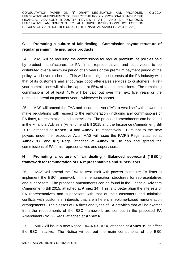# **G Promoting a culture of fair dealing - Commission payout structure of regular premium life insurance products**

24 MAS will be requiring the commissions for regular premium life policies paid by product manufacturers to FA firms, representatives and supervisors to be distributed over a minimum period of six years or the premium payment period of the policy, whichever is shorter. This will better align the interests of the FA industry with that of its customers and encourage good after-sales services to customers. Firstyear commissions will also be capped at 55% of total commissions. The remaining commissions of at least 45% will be paid out over the next five years or the remaining premium payment years, whichever is shorter.

25 MAS will amend the FAA and Insurance Act ("IA") to vest itself with powers to make regulations with respect to the remuneration (including any commissions) of FA firms, representatives and supervisors. The proposed amendments can be found in the Financial Advisers (Amendment) Bill 2015 and the Insurance (Amendment) Bill 2015, attached at **Annex 14** and **Annex 16** respectively. Pursuant to the new powers under the respective Acts, MAS will issue the FA(RI) Regs, attached at **Annex 17**, and I(R) Regs, attached at **Annex 18**, to cap and spread the commissions of FA firms, representatives and supervisors.

# **H Promoting a culture of fair dealing - Balanced scorecard ("BSC") framework for remuneration of FA representatives and supervisors**

26 MAS will amend the FAA to vest itself with powers to require FA firms to implement the BSC framework in the remuneration structures for representatives and supervisors. The proposed amendments can be found in the Financial Advisers (Amendment) Bill 2015, attached at **Annex 14**. This is to better align the interests of FA representatives and supervisors with that of their customers and minimise conflicts with customers' interests that are inherent in volume-based remuneration arrangements. The classes of FA firms and types of FA activities that will be exempt from the requirements of the BSC framework are set out in the proposed FA Amendment (No. 2) Regs, attached at **Annex 6**.

27 MAS will issue a new Notice FAA-NXXFAXX, attached at **Annex 19**, to effect the BSC initiative. The Notice will set out the main components of the BSC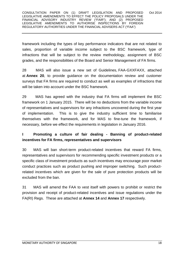framework including the types of key performance indicators that are not related to sales, proportion of variable income subject to the BSC framework, type of infractions that will be subject to the review methodology, assignment of BSC grades, and the responsibilities of the Board and Senior Management of FA firms.

28 MAS will also issue a new set of Guidelines, FAA-GXXFAXX, attached at **Annex 20**, to provide guidance on the documentation review and customer surveys that FA firms are required to conduct as well as examples of infractions that will be taken into account under the BSC framework.

29 MAS has agreed with the industry that FA firms will implement the BSC framework on 1 January 2015. There will be no deductions from the variable income of representatives and supervisors for any infractions uncovered during the first year of implementation. This is to give the industry sufficient time to familiarise themselves with the framework, and for MAS to fine-tune the framework, if necessary, before we effect the requirements in legislation in January 2016.

#### **I Promoting a culture of fair dealing - Banning of product-related incentives for FA firms, representatives and supervisors**

30 MAS will ban short-term product-related incentives that reward FA firms, representatives and supervisors for recommending specific investment products or a specific class of investment products as such incentives may encourage poor market conduct practices such as product pushing and improper switching. Such productrelated incentives which are given for the sale of pure protection products will be excluded from the ban.

31 MAS will amend the FAA to vest itself with powers to prohibit or restrict the provision and receipt of product-related incentives and issue regulations under the FA(RI) Regs. These are attached at **Annex 14** and **Annex 17** respectively.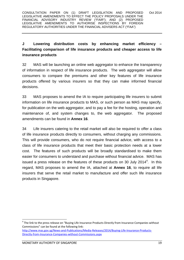# **J Lowering distribution costs by enhancing market efficiency – Facilitating comparison of life insurance products and cheaper access to life insurance products**

32 MAS will be launching an online web aggregator to enhance the transparency of information in respect of life insurance products. The web aggregator will allow consumers to compare the premiums and other key features of life insurance products offered by various insurers so that they can make informed financial decisions.

33 MAS proposes to amend the IA to require participating life insurers to submit information on life insurance products to MAS, or such person as MAS may specify, for publication on the web aggregator, and to pay a fee for the hosting, operation and maintenance of, and system changes to, the web aggregator. The proposed amendments can be found in **Annex 16**.

34 Life insurers catering to the retail market will also be required to offer a class of life insurance products directly to consumers, without charging any commissions. This will provide consumers, who do not require financial advice, with access to a class of life insurance products that meet their basic protection needs at a lower cost. The features of such products will be broadly standardised to make them easier for consumers to understand and purchase without financial advice. MAS has issued a press release on the features of these products on 30 July 2014<sup>4</sup>. In this regard, MAS proposes to amend the IA, attached at **Annex 16**, to require all life insurers that serve the retail market to manufacture and offer such life insurance products in Singapore.

<sup>4</sup> The link to the press release on "Buying Life Insurance Products Directly from Insurance Companies without Commissions" can be found at the following link:

http://www.mas.gov.sg/News‐and‐Publications/Media‐Releases/2014/Buying‐Life‐Insurance‐Products‐ Directly‐from‐Insurance‐Companies‐without‐Commissions.aspx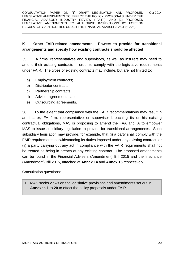## **K Other FAIR-related amendments - Powers to provide for transitional arrangements and specify how existing contracts should be affected**

35 FA firms, representatives and supervisors, as well as insurers may need to amend their existing contracts in order to comply with the legislative requirements under FAIR. The types of existing contracts may include, but are not limited to:

- a) Employment contracts;
- b) Distributor contracts;
- c) Partnership contracts;
- d) Adviser agreements; and
- e) Outsourcing agreements.

36 To the extent that compliance with the FAIR recommendations may result in an insurer, FA firm, representative or supervisor breaching its or his existing contractual obligations, MAS is proposing to amend the FAA and IA to empower MAS to issue subsidiary legislation to provide for transitional arrangements. Such subsidiary legislation may provide, for example, that (i) a party shall comply with the FAIR requirements notwithstanding its duties imposed under any existing contract; or (ii) a party carrying out any act in compliance with the FAIR requirements shall not be treated as being in breach of any existing contract. The proposed amendments can be found in the Financial Advisers (Amendment) Bill 2015 and the Insurance (Amendment) Bill 2015, attached at **Annex 14** and **Annex 16** respectively.

Consultation questions:

1. MAS seeks views on the legislative provisions and amendments set out in **Annexes 1** to **20** to effect the policy proposals under FAIR.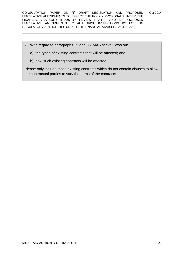- 2. With regard to paragraphs 35 and 36, MAS seeks views on:
	- a) the types of existing contracts that will be affected; and
	- b) how such existing contracts will be affected.

Please only include those existing contracts which do not contain clauses to allow the contractual parties to vary the terms of the contracts.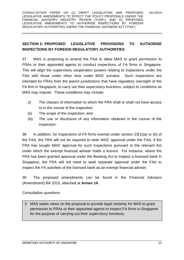## **SECTION 2: PROPOSED LEGISLATIVE PROVISIONS TO AUTHORISE INSPECTIONS BY FOREIGN REGULATORY AUTHORITIES**

37 MAS is proposing to amend the FAA to allow MAS to grant permission to FRAs or their appointed agents to conduct inspections of FA firms in Singapore. This will align the supervisory cooperation powers relating to inspections under the FAA with those under other Acts under MAS' purview. Such inspections are intended for FRAs from the parent jurisdictions that have regulatory oversight of the FA firm in Singapore, to carry out their supervisory functions, subject to conditions as MAS may impose. These conditions may include:

- (i) The classes of information to which the FRA shall or shall not have access to in the course of the inspection;
- (ii) The scope of the inspection; and
- (iii) The use or disclosure of any information obtained in the course of the inspection.

38 In addition, for inspections of FA firms exempt under section 23(1)(a) or (b) of the FAA, the FRA will not be required to seek MAS' approval under the FAA, if the FRA has sought MAS' approval for such inspections pursuant to the relevant Act under which the exempt financial adviser holds a licence. For instance, where the FRA has been granted approval under the Banking Act to inspect a licensed bank in Singapore, the FRA will not need to seek separate approval under the FAA to inspect the FA activities of the licensed bank as an exempt financial adviser.

39 The proposed amendments can be found in the Financial Advisers (Amendment) Bill 2015, attached at **Annex 14**.

Consultation questions:

3. MAS seeks views on the proposal to provide legal certainty for MAS to grant permission to FRAs or their appointed agents to inspect FA firms in Singapore for the purpose of carrying out their supervisory functions.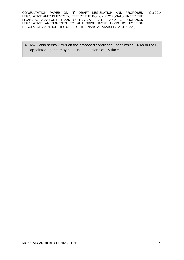4. MAS also seeks views on the proposed conditions under which FRAs or their appointed agents may conduct inspections of FA firms.